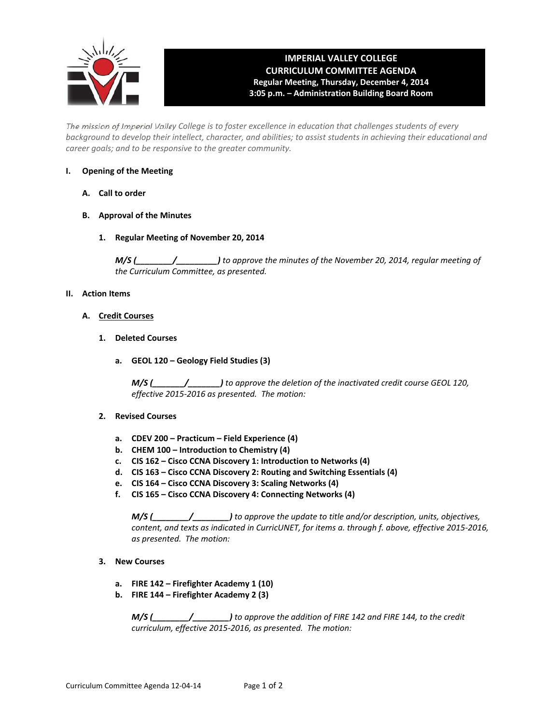

# **IMPERIAL VALLEY COLLEGE CURRICULUM COMMITTEE AGENDA Regular Meeting, Thursday, December 4, 2014 3:05 p.m. – Administration Building Board Room**

The mission of Imperial Valley College is to foster excellence in education that challenges students of every background to develop their intellect, character, and abilities; to assist students in achieving their educational and *career goals; and to be responsive to the greater community.*

# **I. Opening of the Meeting**

- **A. Call to order**
- **B. Approval of the Minutes**
	- **1. Regular Meeting of November 20, 2014**

*M/S (\_\_\_\_\_\_\_\_/\_\_\_\_\_\_\_\_\_) to approve the minutes of the November 20, 2014, regular meeting of the Curriculum Committee, as presented.* 

# **II. Action Items**

- **A. Credit Courses**
	- **1. Deleted Courses**
		- **a. GEOL 120 – Geology Field Studies (3)**

*M/S (\_\_\_\_\_\_\_/\_\_\_\_\_\_\_) to approve the deletion of the inactivated credit course GEOL 120, effective 2015‐2016 as presented. The motion:*

# **2. Revised Courses**

- **a. CDEV 200 – Practicum – Field Experience (4)**
- **b. CHEM 100 – Introduction to Chemistry (4)**
- **c. CIS 162 – Cisco CCNA Discovery 1: Introduction to Networks (4)**
- **d. CIS 163 – Cisco CCNA Discovery 2: Routing and Switching Essentials (4)**
- **e. CIS 164 – Cisco CCNA Discovery 3: Scaling Networks (4)**
- **f. CIS 165 – Cisco CCNA Discovery 4: Connecting Networks (4)**

*M/S (\_\_\_\_\_\_\_\_/\_\_\_\_\_\_\_\_) to approve the update to title and/or description, units, objectives, content, and texts as indicated in CurricUNET, for items a. through f. above, effective 2015‐2016, as presented. The motion:*

- **3. New Courses**
	- **a. FIRE 142 – Firefighter Academy 1 (10)**
	- **b. FIRE 144 – Firefighter Academy 2 (3)**

*M/S (\_\_\_\_\_\_\_\_/\_\_\_\_\_\_\_\_) to approve the addition of FIRE 142 and FIRE 144, to the credit curriculum, effective 2015‐2016, as presented. The motion:*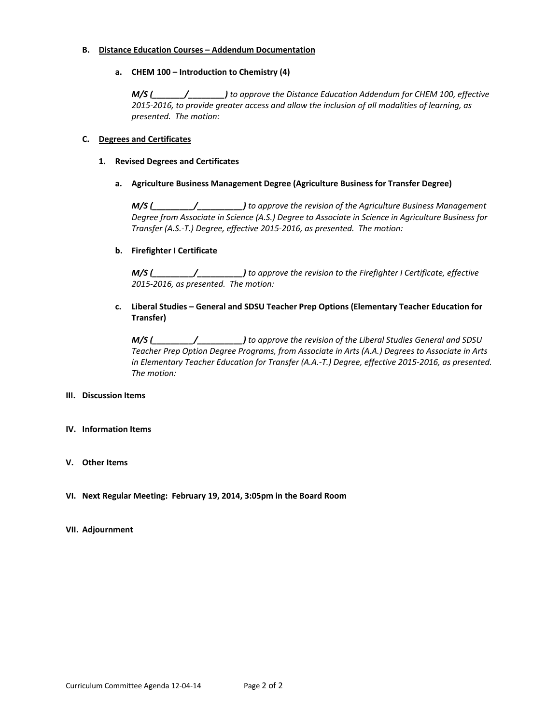#### **B. Distance Education Courses – Addendum Documentation**

 **a. CHEM 100 – Introduction to Chemistry (4)**

*M/S (\_\_\_\_\_\_\_/\_\_\_\_\_\_\_\_) to approve the Distance Education Addendum for CHEM 100, effective 2015‐2016, to provide greater access and allow the inclusion of all modalities of learning, as presented. The motion:*

# **C. Degrees and Certificates**

### **1. Revised Degrees and Certificates**

# **a. Agriculture Business Management Degree (Agriculture Business for Transfer Degree)**

*M/S (\_\_\_\_\_\_\_\_\_/\_\_\_\_\_\_\_\_\_\_) to approve the revision of the Agriculture Business Management Degree from Associate in Science (A.S.) Degree to Associate in Science in Agriculture Business for Transfer (A.S.‐T.) Degree, effective 2015‐2016, as presented. The motion:*

# **b. Firefighter I Certificate**

*M/S (\_\_\_\_\_\_\_\_\_/\_\_\_\_\_\_\_\_\_\_) to approve the revision to the Firefighter I Certificate, effective 2015‐2016, as presented. The motion:* 

# **c. Liberal Studies – General and SDSU Teacher Prep Options (Elementary Teacher Education for Transfer)**

*M/S (\_\_\_\_\_\_\_\_\_/\_\_\_\_\_\_\_\_\_\_) to approve the revision of the Liberal Studies General and SDSU Teacher Prep Option Degree Programs, from Associate in Arts (A.A.) Degrees to Associate in Arts in Elementary Teacher Education for Transfer (A.A.‐T.) Degree, effective 2015‐2016, as presented. The motion:*

#### **III. Discussion Items**

#### **IV. Information Items**

# **V. Other Items**

**VI. Next Regular Meeting: February 19, 2014, 3:05pm in the Board Room**

#### **VII. Adjournment**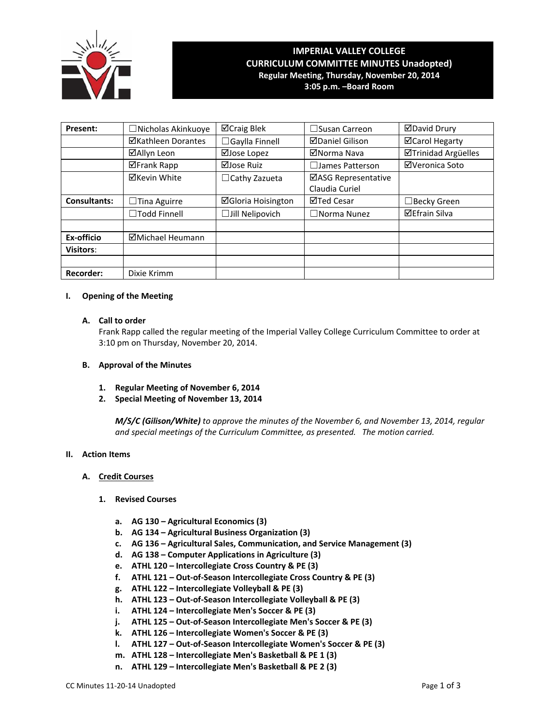

# **IMPERIAL VALLEY COLLEGE CURRICULUM COMMITTEE MINUTES Unadopted) Regular Meeting, Thursday, November 20, 2014 3:05 p.m. –Board Room**

**Present:** │ □Nicholas Akinkuoye │ ⊠Craig Blek │ □Susan Carreon │ ⊠David Drury **ØKathleen Dorantes │ □Gaylla Finnell │ ØDaniel Gilison │ ØCarol Hegarty ØAllyn Leon** | ØJose Lopez | ØNorma Nava | ØTrinidad Argüelles **ØFrank Rapp | ØJose Ruiz | □James Patterson | ØVeronica Soto ⊠Kevin White** │ □ Cathy Zazueta │ ⊠ASG Representative Claudia Curiel **Consultants:**  $\Box$ Tina Aguirre  $\Box$  **Gloria Hoisington**  $\Box$  Ted Cesar  $\Box$  Becky Green ☐Todd Finnell ☐Jill Nelipovich ☐Norma Nunez Efrain Silva the contract of the contract of the contract of the contract of the contract of the contract of the contract of **Ex-officio Michael Heumann Visitors**: **Recorder:** | Dixie Krimm

# **I. Opening of the Meeting**

# **A. Call to order**

Frank Rapp called the regular meeting of the Imperial Valley College Curriculum Committee to order at 3:10 pm on Thursday, November 20, 2014.

### **B. Approval of the Minutes**

- **1. Regular Meeting of November 6, 2014**
- **2. Special Meeting of November 13, 2014**

*M/S/C (Gilison/White) to approve the minutes of the November 6, and November 13, 2014, regular and special meetings of the Curriculum Committee, as presented. The motion carried.*

#### **II. Action Items**

#### **A. Credit Courses**

#### **1. Revised Courses**

- **a. AG 130 – Agricultural Economics (3)**
- **b. AG 134 – Agricultural Business Organization (3)**
- **c. AG 136 – Agricultural Sales, Communication, and Service Management (3)**
- **d. AG 138 – Computer Applications in Agriculture (3)**
- **e. ATHL 120 – Intercollegiate Cross Country & PE (3)**
- **f. ATHL 121 – Out‐of‐Season Intercollegiate Cross Country & PE (3)**
- **g. ATHL 122 – Intercollegiate Volleyball & PE (3)**
- **h. ATHL 123 – Out‐of‐Season Intercollegiate Volleyball & PE (3)**
- **i. ATHL 124 – Intercollegiate Men's Soccer & PE (3)**
- **j. ATHL 125 – Out‐of‐Season Intercollegiate Men's Soccer & PE (3)**
- **k. ATHL 126 – Intercollegiate Women's Soccer & PE (3)**
- **l. ATHL 127 – Out‐of‐Season Intercollegiate Women's Soccer & PE (3)**
- **m. ATHL 128 – Intercollegiate Men's Basketball & PE 1 (3)**
- **n. ATHL 129 – Intercollegiate Men's Basketball & PE 2 (3)**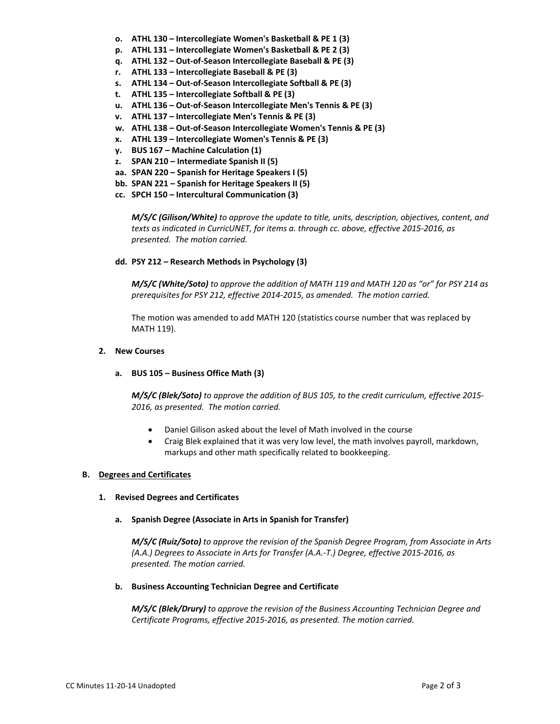- **o. ATHL 130 – Intercollegiate Women's Basketball & PE 1 (3)**
- **p. ATHL 131 – Intercollegiate Women's Basketball & PE 2 (3)**
- **q. ATHL 132 – Out‐of‐Season Intercollegiate Baseball & PE (3)**
- **r. ATHL 133 – Intercollegiate Baseball & PE (3)**
- **s. ATHL 134 – Out‐of‐Season Intercollegiate Softball & PE (3)**
- **t. ATHL 135 – Intercollegiate Softball & PE (3)**
- **u. ATHL 136 – Out‐of‐Season Intercollegiate Men's Tennis & PE (3)**
- **v. ATHL 137 – Intercollegiate Men's Tennis & PE (3)**
- **w. ATHL 138 – Out‐of‐Season Intercollegiate Women's Tennis & PE (3)**
- **x. ATHL 139 – Intercollegiate Women's Tennis & PE (3)**
- **y. BUS 167 – Machine Calculation (1)**
- **z. SPAN 210 – Intermediate Spanish II (5)**
- **aa. SPAN 220 – Spanish for Heritage Speakers I (5)**
- **bb. SPAN 221 – Spanish for Heritage Speakers II (5)**
- **cc. SPCH 150 – Intercultural Communication (3)**

*M/S/C (Gilison/White) to approve the update to title, units, description, objectives, content, and texts as indicated in CurricUNET, for items a. through cc. above, effective 2015‐2016, as presented. The motion carried.*

#### **dd. PSY 212 – Research Methods in Psychology (3)**

*M/S/C (White/Soto) to approve the addition of MATH 119 and MATH 120 as "or" for PSY 214 as prerequisites for PSY 212, effective 2014‐2015, as amended. The motion carried.*

The motion was amended to add MATH 120 (statistics course number that was replaced by MATH 119).

### **2. New Courses**

#### **a. BUS 105 – Business Office Math (3)**

*M/S/C (Blek/Soto) to approve the addition of BUS 105, to the credit curriculum, effective 2015‐ 2016, as presented. The motion carried.*

- Daniel Gilison asked about the level of Math involved in the course
- Craig Blek explained that it was very low level, the math involves payroll, markdown, markups and other math specifically related to bookkeeping.

#### **B. Degrees and Certificates**

**1. Revised Degrees and Certificates**

#### **a. Spanish Degree (Associate in Arts in Spanish for Transfer)**

*M/S/C (Ruiz/Soto) to approve the revision of the Spanish Degree Program, from Associate in Arts (A.A.) Degrees to Associate in Arts for Transfer (A.A.‐T.) Degree, effective 2015‐2016, as presented. The motion carried.*

#### **b. Business Accounting Technician Degree and Certificate**

*M/S/C (Blek/Drury) to approve the revision of the Business Accounting Technician Degree and Certificate Programs, effective 2015‐2016, as presented. The motion carried.*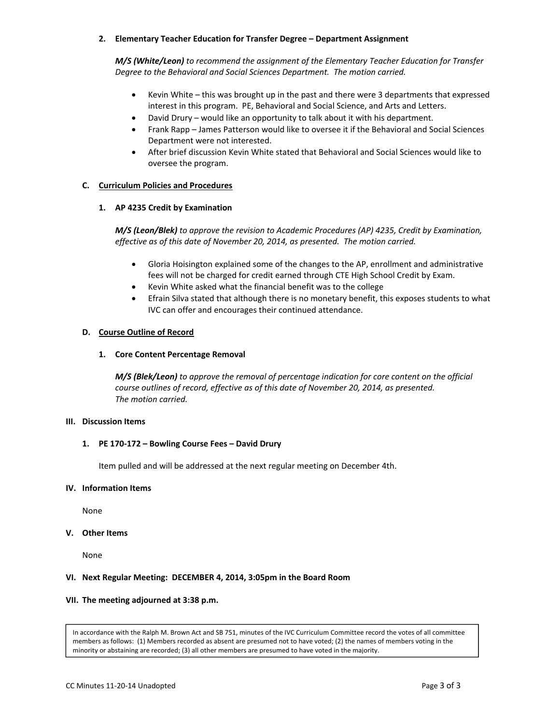# **2. Elementary Teacher Education for Transfer Degree – Department Assignment**

*M/S (White/Leon) to recommend the assignment of the Elementary Teacher Education for Transfer Degree to the Behavioral and Social Sciences Department. The motion carried.*

- Kevin White this was brought up in the past and there were 3 departments that expressed interest in this program. PE, Behavioral and Social Science, and Arts and Letters.
- David Drury would like an opportunity to talk about it with his department.
- Frank Rapp James Patterson would like to oversee it if the Behavioral and Social Sciences Department were not interested.
- After brief discussion Kevin White stated that Behavioral and Social Sciences would like to oversee the program.

## **C. Curriculum Policies and Procedures**

# **1. AP 4235 Credit by Examination**

*M/S (Leon/Blek) to approve the revision to Academic Procedures (AP) 4235, Credit by Examination, effective as of this date of November 20, 2014, as presented. The motion carried.*

- Gloria Hoisington explained some of the changes to the AP, enrollment and administrative fees will not be charged for credit earned through CTE High School Credit by Exam.
- Kevin White asked what the financial benefit was to the college
- Efrain Silva stated that although there is no monetary benefit, this exposes students to what IVC can offer and encourages their continued attendance.

#### **D. Course Outline of Record**

#### **1. Core Content Percentage Removal**

*M/S (Blek/Leon) to approve the removal of percentage indication for core content on the official course outlines of record, effective as of this date of November 20, 2014, as presented. The motion carried.*

## **III. Discussion Items**

#### **1. PE 170‐172 – Bowling Course Fees – David Drury**

Item pulled and will be addressed at the next regular meeting on December 4th.

#### **IV. Information Items**

None

#### **V. Other Items**

None

#### **VI. Next Regular Meeting: DECEMBER 4, 2014, 3:05pm in the Board Room**

#### **VII. The meeting adjourned at 3:38 p.m.**

In accordance with the Ralph M. Brown Act and SB 751, minutes of the IVC Curriculum Committee record the votes of all committee members as follows: (1) Members recorded as absent are presumed not to have voted; (2) the names of members voting in the minority or abstaining are recorded; (3) all other members are presumed to have voted in the majority.